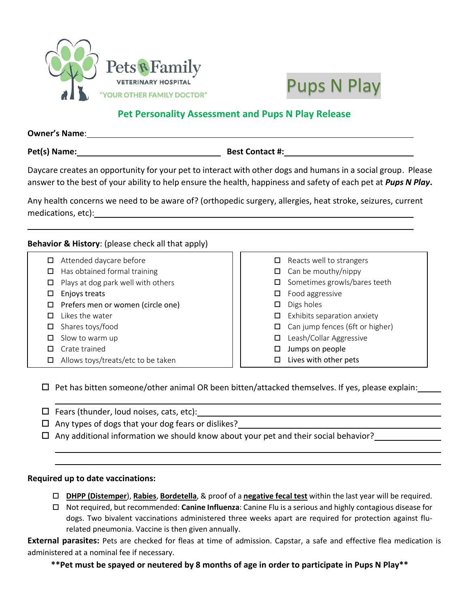



# **Pet Personality Assessment and Pups N Play Release**

| <b>Owner's Name:</b> |                        |
|----------------------|------------------------|
| Pet(s) Name:         | <b>Best Contact #:</b> |

Daycare creates an opportunity for your pet to interact with other dogs and humans in a social group. Please answer to the best of your ability to help ensure the health, happiness and safety of each pet at *Pups N Play***.**

Any health concerns we need to be aware of? (orthopedic surgery, allergies, heat stroke, seizures, current medications, etc):

### **Behavior & History**: (please check all that apply)

- $\Box$  Attended daycare before
- $\Box$  Has obtained formal training
- $\Box$  Plays at dog park well with others
- $\square$  Enjoys treats
- $\Box$  Prefers men or women (circle one)
- $\Box$  Likes the water
- $\Box$  Shares toys/food
- $\square$  Slow to warm up
- $\square$  Crate trained
- $\Box$  Allows toys/treats/etc to be taken

## $\Box$  Reacts well to strangers  $\Box$  Can be mouthy/nippy  $\square$  Sometimes growls/bares teeth  $\Box$  Food aggressive  $\square$  Digs holes  $\Box$  Exhibits separation anxiety  $\Box$  Can jump fences (6ft or higher) □ Leash/Collar Aggressive  $\square$  Jumps on people  $\square$  Lives with other pets

 $\Box$  Pet has bitten someone/other animal OR been bitten/attacked themselves. If yes, please explain:

- $\Box$  Fears (thunder, loud noises, cats, etc):
- $\Box$  Any types of dogs that your dog fears or dislikes?
- $\Box$  Any additional information we should know about your pet and their social behavior?

#### **Required up to date vaccinations:**

- **DHPP (Distemper**), **Rabies**, **Bordetella**, & proof of a **negative fecal test** within the last year will be required.
- Not required, but recommended: **Canine Influenza**: Canine Flu is a serious and highly contagious disease for dogs. Two bivalent vaccinations administered three weeks apart are required for protection against flurelated pneumonia. Vaccine is then given annually.

**External parasites:** Pets are checked for fleas at time of admission. Capstar, a safe and effective flea medication is administered at a nominal fee if necessary.

**\*\*Pet must be spayed or neutered by 8 months of age in order to participate in Pups N Play\*\***